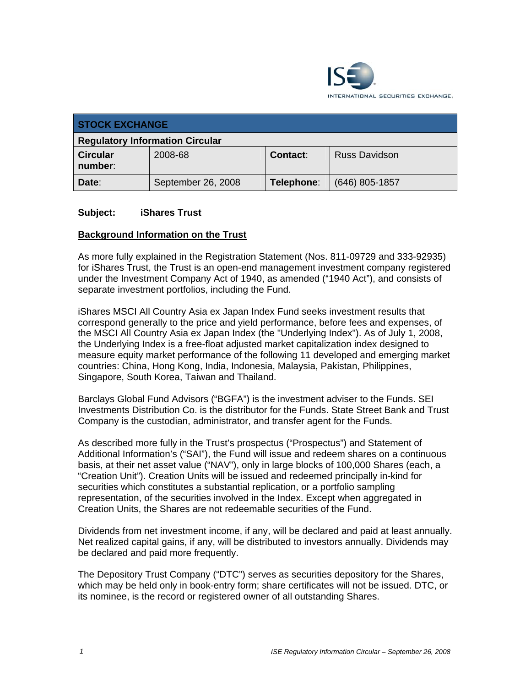

| <b>STOCK EXCHANGE</b>                  |                    |                 |                      |
|----------------------------------------|--------------------|-----------------|----------------------|
| <b>Regulatory Information Circular</b> |                    |                 |                      |
| <b>Circular</b><br>number:             | 2008-68            | <b>Contact:</b> | <b>Russ Davidson</b> |
| Date:                                  | September 26, 2008 | Telephone:      | $(646)$ 805-1857     |

#### **Subject: iShares Trust**

#### **Background Information on the Trust**

As more fully explained in the Registration Statement (Nos. 811-09729 and 333-92935) for iShares Trust, the Trust is an open-end management investment company registered under the Investment Company Act of 1940, as amended ("1940 Act"), and consists of separate investment portfolios, including the Fund.

iShares MSCI All Country Asia ex Japan Index Fund seeks investment results that correspond generally to the price and yield performance, before fees and expenses, of the MSCI All Country Asia ex Japan Index (the "Underlying Index"). As of July 1, 2008, the Underlying Index is a free-float adjusted market capitalization index designed to measure equity market performance of the following 11 developed and emerging market countries: China, Hong Kong, India, Indonesia, Malaysia, Pakistan, Philippines, Singapore, South Korea, Taiwan and Thailand.

Barclays Global Fund Advisors ("BGFA") is the investment adviser to the Funds. SEI Investments Distribution Co. is the distributor for the Funds. State Street Bank and Trust Company is the custodian, administrator, and transfer agent for the Funds.

As described more fully in the Trust's prospectus ("Prospectus") and Statement of Additional Information's ("SAI"), the Fund will issue and redeem shares on a continuous basis, at their net asset value ("NAV"), only in large blocks of 100,000 Shares (each, a "Creation Unit"). Creation Units will be issued and redeemed principally in-kind for securities which constitutes a substantial replication, or a portfolio sampling representation, of the securities involved in the Index. Except when aggregated in Creation Units, the Shares are not redeemable securities of the Fund.

Dividends from net investment income, if any, will be declared and paid at least annually. Net realized capital gains, if any, will be distributed to investors annually. Dividends may be declared and paid more frequently.

The Depository Trust Company ("DTC") serves as securities depository for the Shares, which may be held only in book-entry form; share certificates will not be issued. DTC, or its nominee, is the record or registered owner of all outstanding Shares.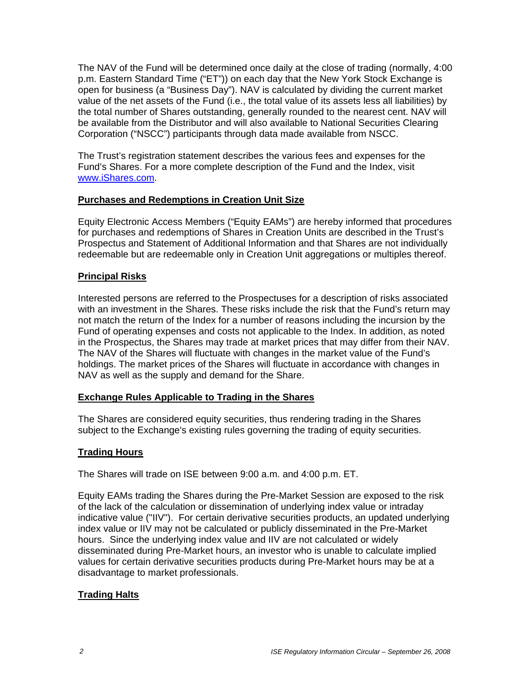The NAV of the Fund will be determined once daily at the close of trading (normally, 4:00 p.m. Eastern Standard Time ("ET")) on each day that the New York Stock Exchange is open for business (a "Business Day"). NAV is calculated by dividing the current market value of the net assets of the Fund (i.e., the total value of its assets less all liabilities) by the total number of Shares outstanding, generally rounded to the nearest cent. NAV will be available from the Distributor and will also available to National Securities Clearing Corporation ("NSCC") participants through data made available from NSCC.

The Trust's registration statement describes the various fees and expenses for the Fund's Shares. For a more complete description of the Fund and the Index, visit www.iShares.com.

# **Purchases and Redemptions in Creation Unit Size**

Equity Electronic Access Members ("Equity EAMs") are hereby informed that procedures for purchases and redemptions of Shares in Creation Units are described in the Trust's Prospectus and Statement of Additional Information and that Shares are not individually redeemable but are redeemable only in Creation Unit aggregations or multiples thereof.

# **Principal Risks**

Interested persons are referred to the Prospectuses for a description of risks associated with an investment in the Shares. These risks include the risk that the Fund's return may not match the return of the Index for a number of reasons including the incursion by the Fund of operating expenses and costs not applicable to the Index. In addition, as noted in the Prospectus, the Shares may trade at market prices that may differ from their NAV. The NAV of the Shares will fluctuate with changes in the market value of the Fund's holdings. The market prices of the Shares will fluctuate in accordance with changes in NAV as well as the supply and demand for the Share.

# **Exchange Rules Applicable to Trading in the Shares**

The Shares are considered equity securities, thus rendering trading in the Shares subject to the Exchange's existing rules governing the trading of equity securities.

# **Trading Hours**

The Shares will trade on ISE between 9:00 a.m. and 4:00 p.m. ET.

Equity EAMs trading the Shares during the Pre-Market Session are exposed to the risk of the lack of the calculation or dissemination of underlying index value or intraday indicative value ("IIV"). For certain derivative securities products, an updated underlying index value or IIV may not be calculated or publicly disseminated in the Pre-Market hours. Since the underlying index value and IIV are not calculated or widely disseminated during Pre-Market hours, an investor who is unable to calculate implied values for certain derivative securities products during Pre-Market hours may be at a disadvantage to market professionals.

# **Trading Halts**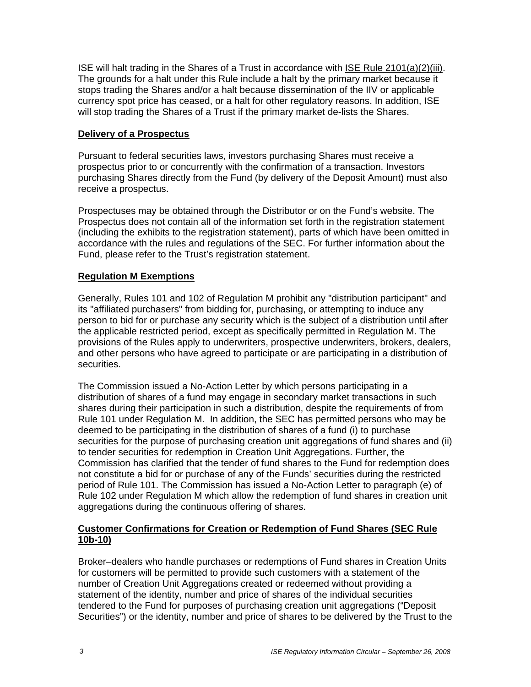ISE will halt trading in the Shares of a Trust in accordance with ISE Rule 2101(a)(2)(iii). The grounds for a halt under this Rule include a halt by the primary market because it stops trading the Shares and/or a halt because dissemination of the IIV or applicable currency spot price has ceased, or a halt for other regulatory reasons. In addition, ISE will stop trading the Shares of a Trust if the primary market de-lists the Shares.

#### **Delivery of a Prospectus**

Pursuant to federal securities laws, investors purchasing Shares must receive a prospectus prior to or concurrently with the confirmation of a transaction. Investors purchasing Shares directly from the Fund (by delivery of the Deposit Amount) must also receive a prospectus.

Prospectuses may be obtained through the Distributor or on the Fund's website. The Prospectus does not contain all of the information set forth in the registration statement (including the exhibits to the registration statement), parts of which have been omitted in accordance with the rules and regulations of the SEC. For further information about the Fund, please refer to the Trust's registration statement.

# **Regulation M Exemptions**

Generally, Rules 101 and 102 of Regulation M prohibit any "distribution participant" and its "affiliated purchasers" from bidding for, purchasing, or attempting to induce any person to bid for or purchase any security which is the subject of a distribution until after the applicable restricted period, except as specifically permitted in Regulation M. The provisions of the Rules apply to underwriters, prospective underwriters, brokers, dealers, and other persons who have agreed to participate or are participating in a distribution of securities.

The Commission issued a No-Action Letter by which persons participating in a distribution of shares of a fund may engage in secondary market transactions in such shares during their participation in such a distribution, despite the requirements of from Rule 101 under Regulation M. In addition, the SEC has permitted persons who may be deemed to be participating in the distribution of shares of a fund (i) to purchase securities for the purpose of purchasing creation unit aggregations of fund shares and (ii) to tender securities for redemption in Creation Unit Aggregations. Further, the Commission has clarified that the tender of fund shares to the Fund for redemption does not constitute a bid for or purchase of any of the Funds' securities during the restricted period of Rule 101. The Commission has issued a No-Action Letter to paragraph (e) of Rule 102 under Regulation M which allow the redemption of fund shares in creation unit aggregations during the continuous offering of shares.

# **Customer Confirmations for Creation or Redemption of Fund Shares (SEC Rule 10b-10)**

Broker–dealers who handle purchases or redemptions of Fund shares in Creation Units for customers will be permitted to provide such customers with a statement of the number of Creation Unit Aggregations created or redeemed without providing a statement of the identity, number and price of shares of the individual securities tendered to the Fund for purposes of purchasing creation unit aggregations ("Deposit Securities") or the identity, number and price of shares to be delivered by the Trust to the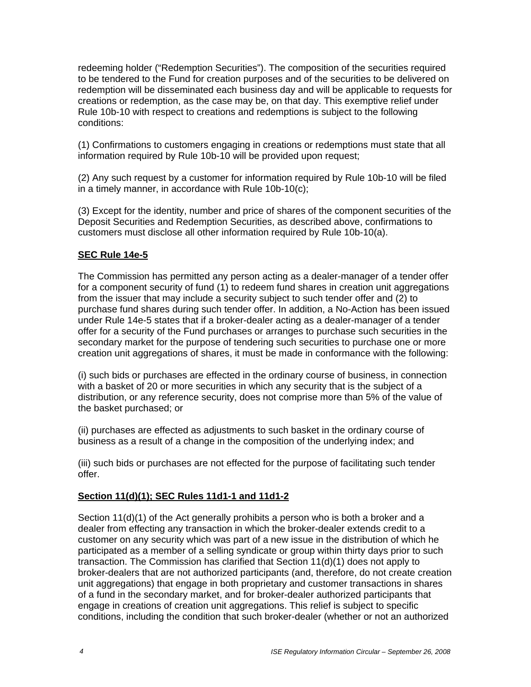redeeming holder ("Redemption Securities"). The composition of the securities required to be tendered to the Fund for creation purposes and of the securities to be delivered on redemption will be disseminated each business day and will be applicable to requests for creations or redemption, as the case may be, on that day. This exemptive relief under Rule 10b-10 with respect to creations and redemptions is subject to the following conditions:

(1) Confirmations to customers engaging in creations or redemptions must state that all information required by Rule 10b-10 will be provided upon request;

(2) Any such request by a customer for information required by Rule 10b-10 will be filed in a timely manner, in accordance with Rule 10b-10(c);

(3) Except for the identity, number and price of shares of the component securities of the Deposit Securities and Redemption Securities, as described above, confirmations to customers must disclose all other information required by Rule 10b-10(a).

# **SEC Rule 14e-5**

The Commission has permitted any person acting as a dealer-manager of a tender offer for a component security of fund (1) to redeem fund shares in creation unit aggregations from the issuer that may include a security subject to such tender offer and (2) to purchase fund shares during such tender offer. In addition, a No-Action has been issued under Rule 14e-5 states that if a broker-dealer acting as a dealer-manager of a tender offer for a security of the Fund purchases or arranges to purchase such securities in the secondary market for the purpose of tendering such securities to purchase one or more creation unit aggregations of shares, it must be made in conformance with the following:

(i) such bids or purchases are effected in the ordinary course of business, in connection with a basket of 20 or more securities in which any security that is the subject of a distribution, or any reference security, does not comprise more than 5% of the value of the basket purchased; or

(ii) purchases are effected as adjustments to such basket in the ordinary course of business as a result of a change in the composition of the underlying index; and

(iii) such bids or purchases are not effected for the purpose of facilitating such tender offer.

#### **Section 11(d)(1); SEC Rules 11d1-1 and 11d1-2**

Section 11(d)(1) of the Act generally prohibits a person who is both a broker and a dealer from effecting any transaction in which the broker-dealer extends credit to a customer on any security which was part of a new issue in the distribution of which he participated as a member of a selling syndicate or group within thirty days prior to such transaction. The Commission has clarified that Section 11(d)(1) does not apply to broker-dealers that are not authorized participants (and, therefore, do not create creation unit aggregations) that engage in both proprietary and customer transactions in shares of a fund in the secondary market, and for broker-dealer authorized participants that engage in creations of creation unit aggregations. This relief is subject to specific conditions, including the condition that such broker-dealer (whether or not an authorized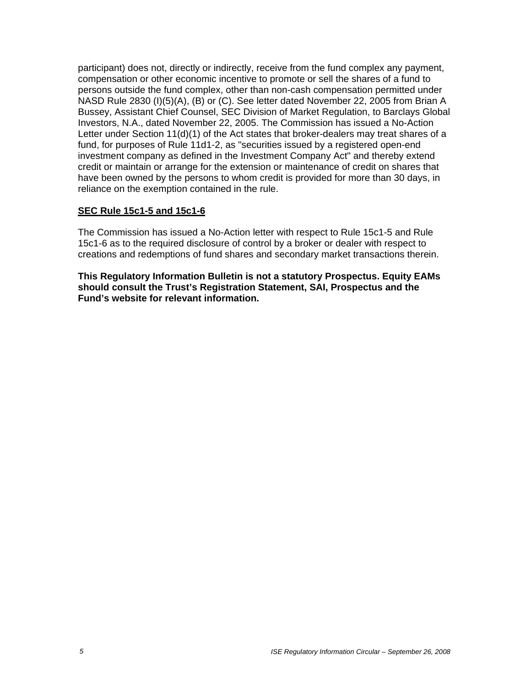participant) does not, directly or indirectly, receive from the fund complex any payment, compensation or other economic incentive to promote or sell the shares of a fund to persons outside the fund complex, other than non-cash compensation permitted under NASD Rule 2830 (I)(5)(A), (B) or (C). See letter dated November 22, 2005 from Brian A Bussey, Assistant Chief Counsel, SEC Division of Market Regulation, to Barclays Global Investors, N.A., dated November 22, 2005. The Commission has issued a No-Action Letter under Section 11(d)(1) of the Act states that broker-dealers may treat shares of a fund, for purposes of Rule 11d1-2, as "securities issued by a registered open-end investment company as defined in the Investment Company Act" and thereby extend credit or maintain or arrange for the extension or maintenance of credit on shares that have been owned by the persons to whom credit is provided for more than 30 days, in reliance on the exemption contained in the rule.

# **SEC Rule 15c1-5 and 15c1-6**

The Commission has issued a No-Action letter with respect to Rule 15c1-5 and Rule 15c1-6 as to the required disclosure of control by a broker or dealer with respect to creations and redemptions of fund shares and secondary market transactions therein.

**This Regulatory Information Bulletin is not a statutory Prospectus. Equity EAMs should consult the Trust's Registration Statement, SAI, Prospectus and the Fund's website for relevant information.**